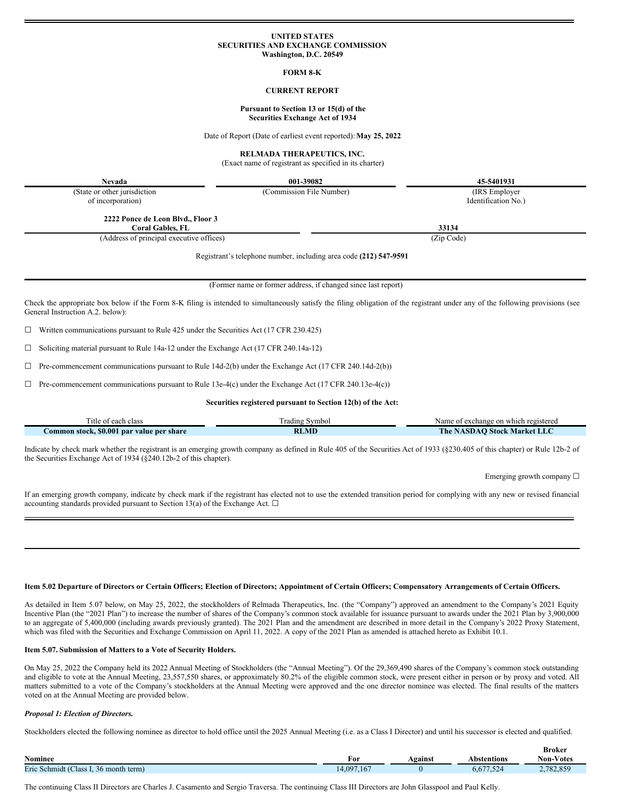### **UNITED STATES SECURITIES AND EXCHANGE COMMISSION Washington, D.C. 20549**

#### **FORM 8-K**

### **CURRENT REPORT**

### **Pursuant to Section 13 or 15(d) of the Securities Exchange Act of 1934**

Date of Report (Date of earliest event reported):**May 25, 2022**

# **RELMADA THERAPEUTICS, INC.**

(Exact name of registrant as specified in its charter)

| Nevada                            | 001-39082                | 45-5401931          |  |
|-----------------------------------|--------------------------|---------------------|--|
| (State or other jurisdiction      | (Commission File Number) | (IRS Employer)      |  |
| of incorporation)                 |                          | Identification No.) |  |
| 2222 Ponce de Leon Blvd., Floor 3 |                          |                     |  |
| <b>Coral Gables, FL</b>           |                          | 33134               |  |
|                                   |                          | .                   |  |

(Address of principal executive offices) (Zip Code)

Registrant's telephone number, including area code **(212) 547-9591**

(Former name or former address, if changed since last report)

Check the appropriate box below if the Form 8-K filing is intended to simultaneously satisfy the filing obligation of the registrant under any of the following provisions (see General Instruction A.2. below):

 $\Box$  Written communications pursuant to Rule 425 under the Securities Act (17 CFR 230.425)

☐ Soliciting material pursuant to Rule 14a-12 under the Exchange Act (17 CFR 240.14a-12)

 $\Box$  Pre-commencement communications pursuant to Rule 14d-2(b) under the Exchange Act (17 CFR 240.14d-2(b))

 $\Box$  Pre-commencement communications pursuant to Rule 13e-4(c) under the Exchange Act (17 CFR 240.13e-4(c))

# **Securities registered pursuant to Section 12(b) of the Act:**

| Title of each class                       | ' Symbol<br>Fradıng | Name of exchange on which registered |
|-------------------------------------------|---------------------|--------------------------------------|
| Common stock. \$0.001 par value per share | <b>RLMD</b>         | <b>The NASDAO Stock Market LLC</b>   |

Indicate by check mark whether the registrant is an emerging growth company as defined in Rule 405 of the Securities Act of 1933 (§230.405 of this chapter) or Rule 12b-2 of the Securities Exchange Act of 1934 (§240.12b-2 of this chapter).

Emerging growth company  $\Box$ 

**Broker**

If an emerging growth company, indicate by check mark if the registrant has elected not to use the extended transition period for complying with any new or revised financial accounting standards provided pursuant to Section 13(a) of the Exchange Act.  $\Box$ 

# Item 5.02 Departure of Directors or Certain Officers; Election of Directors; Appointment of Certain Officers; Compensatory Arrangements of Certain Officers.

As detailed in Item 5.07 below, on May 25, 2022, the stockholders of Relmada Therapeutics, Inc. (the "Company") approved an amendment to the Company's 2021 Equity Incentive Plan (the "2021 Plan") to increase the number of shares of the Company's common stock available for issuance pursuant to awards under the 2021 Plan by 3,900,000 to an aggregate of 5,400,000 (including awards previously granted). The 2021 Plan and the amendment are described in more detail in the Company's 2022 Proxy Statement, which was filed with the Securities and Exchange Commission on April 11, 2022. A copy of the 2021 Plan as amended is attached hereto as Exhibit 10.1.

### **Item 5.07. Submission of Matters to a Vote of Security Holders.**

On May 25, 2022 the Company held its 2022 Annual Meeting of Stockholders (the "Annual Meeting"). Of the 29,369,490 shares of the Company's common stock outstanding and eligible to vote at the Annual Meeting, 23,557,550 shares, or approximately 80.2% of the eligible common stock, were present either in person or by proxy and voted. All matters submitted to a vote of the Company's stockholders at the Annual Meeting were approved and the one director nominee was elected. The final results of the matters voted on at the Annual Meeting are provided below.

# *Proposal 1: Election of Directors.*

Stockholders elected the following nominee as director to hold office until the 2025 Annual Meeting (i.e. as a Class I Director) and until his successor is elected and qualified.

|                                                                               |                    |         |                                                                           | DI OKCI<br>$\sim$ $\sim$ $\sim$ $\sim$    |
|-------------------------------------------------------------------------------|--------------------|---------|---------------------------------------------------------------------------|-------------------------------------------|
| $\rightarrow$<br>Nominee                                                      | For                | Against | Abstentions                                                               | $ -$<br>$\cdot$ $\cdot$<br>∕ otes<br>Non- |
| $ \cdot$<br><b>Service</b><br>Eric Schmidt (<br>month term)<br>-lass 1.<br>56 | 14.097<br>.<br>.16 |         | $-$<br>$\epsilon$ and $\epsilon$<br>.520<br>0.0<br><b>Service Service</b> | .782.859<br>. .                           |

The continuing Class II Directors are Charles J. Casamento and Sergio Traversa. The continuing Class III Directors are John Glasspool and Paul Kelly.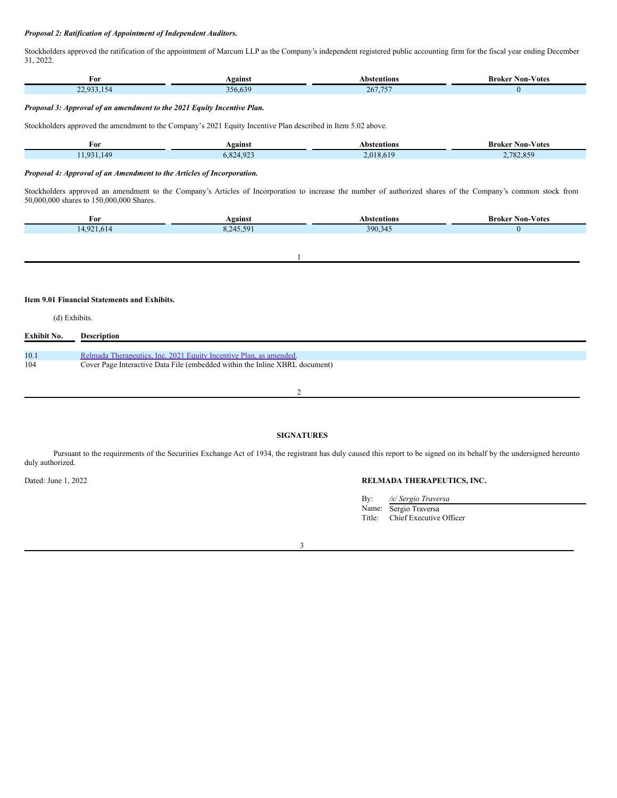# *Proposal 2: Ratification of Appointment of Independent Auditors.*

Stockholders approved the ratification of the appointment of Marcum LLP as the Company's independent registered public accounting firm for the fiscal year ending December 31, 2022.

| For                                      | Against | Abstentions | Non-Votes<br>Broker |
|------------------------------------------|---------|-------------|---------------------|
| 22.033.15<br>$\mathcal{L}$<br>22. JJJ.IU | 356,639 | 267,757     |                     |

### *Proposal 3: Approval of an amendment to the 2021 Equity Incentive Plan.*

Stockholders approved the amendment to the Company's 2021 Equity Incentive Plan described in Item 5.02 above.

| FOI                                                     | Against                                                     | Abstentions | Broker<br>Non-<br>Votes.  |
|---------------------------------------------------------|-------------------------------------------------------------|-------------|---------------------------|
| $^{\Omega}$<br>$\Lambda$ <sup><math>\Omega</math></sup> | 0 <sup>2</sup><br>$\overline{11}$<br>3.04<br>. . <i>. .</i> | $^{\prime}$ | 859<br>700<br>$\sim$<br>. |

# *Proposal 4: Approval of an Amendment to the Articles of Incorporation.*

Stockholders approved an amendment to the Company's Articles of Incorporation to increase the number of authorized shares of the Company's common stock from 50,000,000 shares to 150,000,000 Shares.

| For        | Against   | <b>Abstentions</b> | <b>Broker Non-Votes</b> |
|------------|-----------|--------------------|-------------------------|
| 14,921,614 | 8,245,591 | 390,345            | v                       |
|            |           |                    |                         |
|            |           |                    |                         |
|            |           |                    |                         |

### **Item 9.01 Financial Statements and Exhibits.**

(d) Exhibits.

| Exhibit No. | <b>Description</b>                                                          |
|-------------|-----------------------------------------------------------------------------|
|             |                                                                             |
| 10.1        | Relmada Therapeutics, Inc. 2021 Equity Incentive Plan, as amended.          |
| 104         | Cover Page Interactive Data File (embedded within the Inline XBRL document) |

2

# **SIGNATURES**

Pursuant to the requirements of the Securities Exchange Act of 1934, the registrant has duly caused this report to be signed on its behalf by the undersigned hereunto duly authorized.

# Dated: June 1, 2022 **RELMADA THERAPEUTICS, INC.**

By: */s/ Sergio Traversa*

Name: Sergio Traversa Title: Chief Executive Officer

3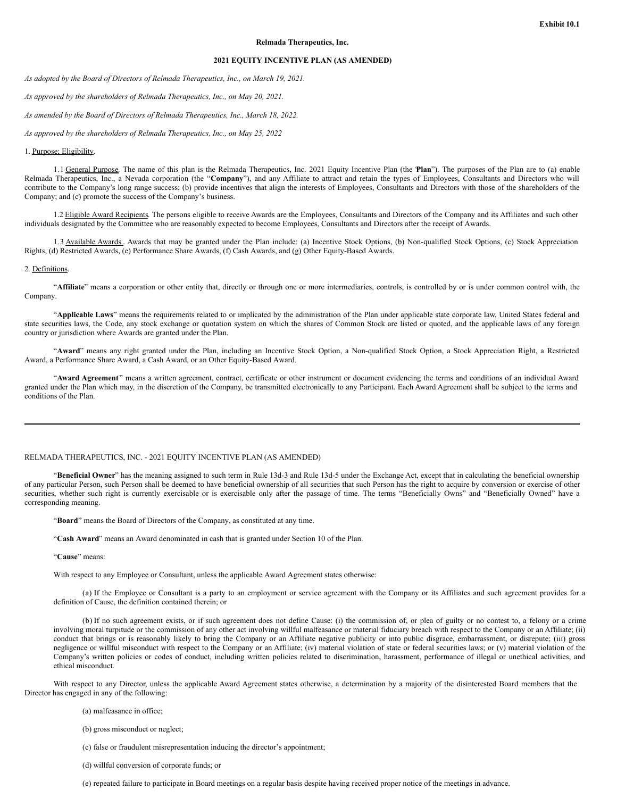### **Relmada Therapeutics, Inc.**

## **2021 EQUITY INCENTIVE PLAN (AS AMENDED)**

*As adopted by the Board of Directors of Relmada Therapeutics, Inc., on March 19, 2021.*

*As approved by the shareholders of Relmada Therapeutics, Inc., on May 20, 2021.*

*As amended by the Board of Directors of Relmada Therapeutics, Inc., March 18, 2022.*

*As approved by the shareholders of Relmada Therapeutics, Inc., on May 25, 2022*

#### 1. Purpose; Eligibility.

1.1 General Purpose. The name of this plan is the Relmada Therapeutics, Inc. 2021 Equity Incentive Plan (the "**Plan**"). The purposes of the Plan are to (a) enable Relmada Therapeutics, Inc., a Nevada corporation (the "**Company**"), and any Affiliate to attract and retain the types of Employees, Consultants and Directors who will contribute to the Company's long range success; (b) provide incentives that align the interests of Employees, Consultants and Directors with those of the shareholders of the Company; and (c) promote the success of the Company's business.

1.2 Eligible Award Recipients. The persons eligible to receive Awards are the Employees, Consultants and Directors of the Company and its Affiliates and such other individuals designated by the Committee who are reasonably expected to become Employees, Consultants and Directors after the receipt of Awards.

1.3 Available Awards. Awards that may be granted under the Plan include: (a) Incentive Stock Options, (b) Non-qualified Stock Options, (c) Stock Appreciation Rights, (d) Restricted Awards, (e) Performance Share Awards, (f) Cash Awards, and (g) Other Equity-Based Awards.

#### 2. Definitions.

"**Affiliate**" means a corporation or other entity that, directly or through one or more intermediaries, controls, is controlled by or is under common control with, the Company.

"**Applicable Laws**" means the requirements related to or implicated by the administration of the Plan under applicable state corporate law, United States federal and state securities laws, the Code, any stock exchange or quotation system on which the shares of Common Stock are listed or quoted, and the applicable laws of any foreign country or jurisdiction where Awards are granted under the Plan.

"**Award**" means any right granted under the Plan, including an Incentive Stock Option, a Non-qualified Stock Option, a Stock Appreciation Right, a Restricted Award, a Performance Share Award, a Cash Award, or an Other Equity-Based Award.

"**Award Agreement**" means a written agreement, contract, certificate or other instrument or document evidencing the terms and conditions of an individual Award granted under the Plan which may, in the discretion of the Company, be transmitted electronically to any Participant. Each Award Agreement shall be subject to the terms and conditions of the Plan.

#### RELMADA THERAPEUTICS, INC. - 2021 EQUITY INCENTIVE PLAN (AS AMENDED)

"**Beneficial Owner**" has the meaning assigned to such term in Rule 13d-3 and Rule 13d-5 under the Exchange Act, except that in calculating the beneficial ownership of any particular Person, such Person shall be deemed to have beneficial ownership of all securities that such Person has the right to acquire by conversion or exercise of other securities, whether such right is currently exercisable or is exercisable only after the passage of time. The terms "Beneficially Owns" and "Beneficially Owned" have a corresponding meaning.

"**Board**" means the Board of Directors of the Company, as constituted at any time.

"**Cash Award**" means an Award denominated in cash that is granted under Section 10 of the Plan.

"**Cause**" means:

With respect to any Employee or Consultant, unless the applicable Award Agreement states otherwise:

(a) If the Employee or Consultant is a party to an employment or service agreement with the Company or its Affiliates and such agreement provides for a definition of Cause, the definition contained therein; or

(b) If no such agreement exists, or if such agreement does not define Cause: (i) the commission of, or plea of guilty or no contest to, a felony or a crime involving moral turpitude or the commission of any other act involving willful malfeasance or material fiduciary breach with respect to the Company or an Affiliate; (ii) conduct that brings or is reasonably likely to bring the Company or an Affiliate negative publicity or into public disgrace, embarrassment, or disrepute; (iii) gross negligence or willful misconduct with respect to the Company or an Affiliate; (iv) material violation of state or federal securities laws; or (v) material violation of the Company's written policies or codes of conduct, including written policies related to discrimination, harassment, performance of illegal or unethical activities, and ethical misconduct.

With respect to any Director, unless the applicable Award Agreement states otherwise, a determination by a majority of the disinterested Board members that the Director has engaged in any of the following:

(a) malfeasance in office;

(b) gross misconduct or neglect;

(c) false or fraudulent misrepresentation inducing the director's appointment;

(d) willful conversion of corporate funds; or

(e) repeated failure to participate in Board meetings on a regular basis despite having received proper notice of the meetings in advance.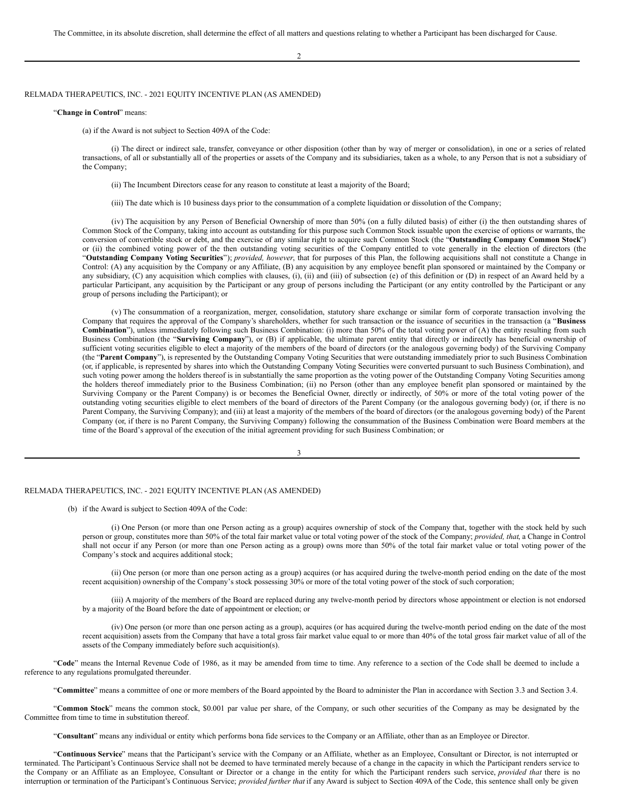# RELMADA THERAPEUTICS, INC. - 2021 EQUITY INCENTIVE PLAN (AS AMENDED)

#### "**Change in Control**" means:

(a) if the Award is not subject to Section 409A of the Code:

(i) The direct or indirect sale, transfer, conveyance or other disposition (other than by way of merger or consolidation), in one or a series of related transactions, of all or substantially all of the properties or assets of the Company and its subsidiaries, taken as a whole, to any Person that is not a subsidiary of the Company;

- (ii) The Incumbent Directors cease for any reason to constitute at least a majority of the Board;
- (iii) The date which is 10 business days prior to the consummation of a complete liquidation or dissolution of the Company;

(iv) The acquisition by any Person of Beneficial Ownership of more than 50% (on a fully diluted basis) of either (i) the then outstanding shares of Common Stock of the Company, taking into account as outstanding for this purpose such Common Stock issuable upon the exercise of options or warrants, the conversion of convertible stock or debt, and the exercise of any similar right to acquire such Common Stock (the "**Outstanding Company Common Stock**") or (ii) the combined voting power of the then outstanding voting securities of the Company entitled to vote generally in the election of directors (the "**Outstanding Company Voting Securities**"); *provided, however*, that for purposes of this Plan, the following acquisitions shall not constitute a Change in Control: (A) any acquisition by the Company or any Affiliate, (B) any acquisition by any employee benefit plan sponsored or maintained by the Company or any subsidiary, (C) any acquisition which complies with clauses, (i), (ii) and (iii) of subsection (e) of this definition or (D) in respect of an Award held by a particular Participant, any acquisition by the Participant or any group of persons including the Participant (or any entity controlled by the Participant or any group of persons including the Participant); or

(v) The consummation of a reorganization, merger, consolidation, statutory share exchange or similar form of corporate transaction involving the Company that requires the approval of the Company's shareholders, whether for such transaction or the issuance of securities in the transaction (a "**Business Combination**"), unless immediately following such Business Combination: (i) more than 50% of the total voting power of (A) the entity resulting from such Business Combination (the "**Surviving Company**"), or (B) if applicable, the ultimate parent entity that directly or indirectly has beneficial ownership of sufficient voting securities eligible to elect a majority of the members of the board of directors (or the analogous governing body) of the Surviving Company (the "**Parent Company**"), is represented by the Outstanding Company Voting Securities that were outstanding immediately prior to such Business Combination (or, if applicable, is represented by shares into which the Outstanding Company Voting Securities were converted pursuant to such Business Combination), and such voting power among the holders thereof is in substantially the same proportion as the voting power of the Outstanding Company Voting Securities among the holders thereof immediately prior to the Business Combination; (ii) no Person (other than any employee benefit plan sponsored or maintained by the Surviving Company or the Parent Company) is or becomes the Beneficial Owner, directly or indirectly, of 50% or more of the total voting power of the outstanding voting securities eligible to elect members of the board of directors of the Parent Company (or the analogous governing body) (or, if there is no Parent Company, the Surviving Company); and (iii) at least a majority of the members of the board of directors (or the analogous governing body) of the Parent Company (or, if there is no Parent Company, the Surviving Company) following the consummation of the Business Combination were Board members at the time of the Board's approval of the execution of the initial agreement providing for such Business Combination; or

3

#### RELMADA THERAPEUTICS, INC. - 2021 EQUITY INCENTIVE PLAN (AS AMENDED)

(b) if the Award is subject to Section 409A of the Code:

(i) One Person (or more than one Person acting as a group) acquires ownership of stock of the Company that, together with the stock held by such person or group, constitutes more than 50% of the total fair market value or total voting power of the stock of the Company; *provided, that*, a Change in Control shall not occur if any Person (or more than one Person acting as a group) owns more than 50% of the total fair market value or total voting power of the Company's stock and acquires additional stock;

(ii) One person (or more than one person acting as a group) acquires (or has acquired during the twelve-month period ending on the date of the most recent acquisition) ownership of the Company's stock possessing 30% or more of the total voting power of the stock of such corporation;

(iii) A majority of the members of the Board are replaced during any twelve-month period by directors whose appointment or election is not endorsed by a majority of the Board before the date of appointment or election; or

(iv) One person (or more than one person acting as a group), acquires (or has acquired during the twelve-month period ending on the date of the most recent acquisition) assets from the Company that have a total gross fair market value equal to or more than 40% of the total gross fair market value of all of the assets of the Company immediately before such acquisition(s).

"**Code**" means the Internal Revenue Code of 1986, as it may be amended from time to time. Any reference to a section of the Code shall be deemed to include a reference to any regulations promulgated thereunder.

"**Committee**" means a committee of one or more members of the Board appointed by the Board to administer the Plan in accordance with Section 3.3 and Section 3.4.

"**Common Stock**" means the common stock, \$0.001 par value per share, of the Company, or such other securities of the Company as may be designated by the Committee from time to time in substitution thereof.

"**Consultant**" means any individual or entity which performs bona fide services to the Company or an Affiliate, other than as an Employee or Director.

"**Continuous Service**" means that the Participant's service with the Company or an Affiliate, whether as an Employee, Consultant or Director, is not interrupted or terminated. The Participant's Continuous Service shall not be deemed to have terminated merely because of a change in the capacity in which the Participant renders service to the Company or an Affiliate as an Employee, Consultant or Director or a change in the entity for which the Participant renders such service, *provided that* there is no interruption or termination of the Participant's Continuous Service; *provided further that* if any Award is subject to Section 409A of the Code, this sentence shall only be given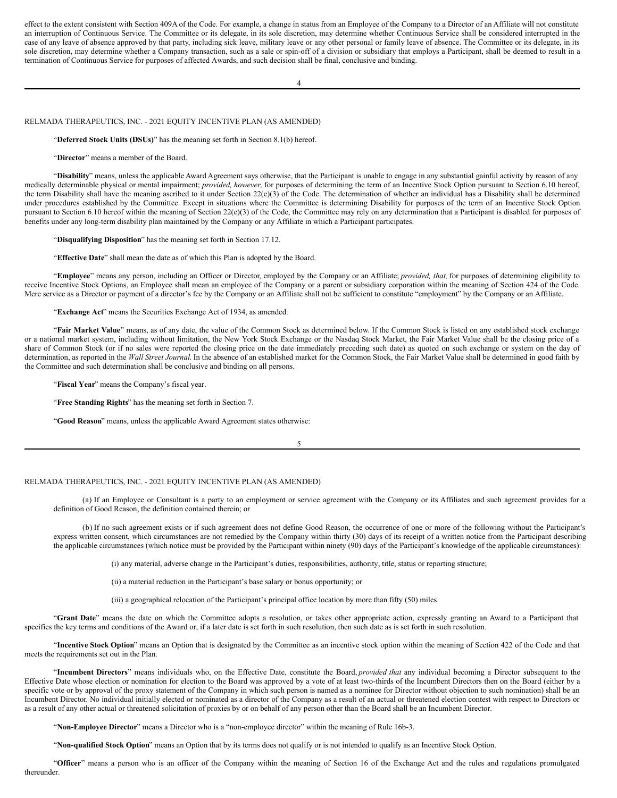effect to the extent consistent with Section 409A of the Code. For example, a change in status from an Employee of the Company to a Director of an Affiliate will not constitute an interruption of Continuous Service. The Committee or its delegate, in its sole discretion, may determine whether Continuous Service shall be considered interrupted in the case of any leave of absence approved by that party, including sick leave, military leave or any other personal or family leave of absence. The Committee or its delegate, in its sole discretion, may determine whether a Company transaction, such as a sale or spin-off of a division or subsidiary that employs a Participant, shall be deemed to result in a termination of Continuous Service for purposes of affected Awards, and such decision shall be final, conclusive and binding.

 $\Delta$ 

### RELMADA THERAPEUTICS, INC. - 2021 EQUITY INCENTIVE PLAN (AS AMENDED)

"**Deferred Stock Units (DSUs)**" has the meaning set forth in Section 8.1(b) hereof.

#### "**Director**" means a member of the Board.

"**Disability**" means, unless the applicable Award Agreement says otherwise, that the Participant is unable to engage in any substantial gainful activity by reason of any medically determinable physical or mental impairment; *provided, however,* for purposes of determining the term of an Incentive Stock Option pursuant to Section 6.10 hereof, the term Disability shall have the meaning ascribed to it under Section 22(e)(3) of the Code. The determination of whether an individual has a Disability shall be determined under procedures established by the Committee. Except in situations where the Committee is determining Disability for purposes of the term of an Incentive Stock Option pursuant to Section 6.10 hereof within the meaning of Section 22(e)(3) of the Code, the Committee may rely on any determination that a Participant is disabled for purposes of benefits under any long-term disability plan maintained by the Company or any Affiliate in which a Participant participates.

### "**Disqualifying Disposition**" has the meaning set forth in Section 17.12.

"**Effective Date**" shall mean the date as of which this Plan is adopted by the Board.

"**Employee**" means any person, including an Officer or Director, employed by the Company or an Affiliate; *provided, that,* for purposes of determining eligibility to receive Incentive Stock Options, an Employee shall mean an employee of the Company or a parent or subsidiary corporation within the meaning of Section 424 of the Code. Mere service as a Director or payment of a director's fee by the Company or an Affiliate shall not be sufficient to constitute "employment" by the Company or an Affiliate.

"**Exchange Act**" means the Securities Exchange Act of 1934, as amended.

"**Fair Market Value**" means, as of any date, the value of the Common Stock as determined below. If the Common Stock is listed on any established stock exchange or a national market system, including without limitation, the New York Stock Exchange or the Nasdaq Stock Market, the Fair Market Value shall be the closing price of a share of Common Stock (or if no sales were reported the closing price on the date immediately preceding such date) as quoted on such exchange or system on the day of determination, as reported in the *Wall Street Journal*. In the absence of an established market for the Common Stock, the Fair Market Value shall be determined in good faith by the Committee and such determination shall be conclusive and binding on all persons.

"**Fiscal Year**" means the Company's fiscal year.

"**Free Standing Rights**" has the meaning set forth in Section 7.

"**Good Reason**" means, unless the applicable Award Agreement states otherwise:

5

#### RELMADA THERAPEUTICS, INC. - 2021 EQUITY INCENTIVE PLAN (AS AMENDED)

(a) If an Employee or Consultant is a party to an employment or service agreement with the Company or its Affiliates and such agreement provides for a definition of Good Reason, the definition contained therein; or

(b) If no such agreement exists or if such agreement does not define Good Reason, the occurrence of one or more of the following without the Participant's express written consent, which circumstances are not remedied by the Company within thirty (30) days of its receipt of a written notice from the Participant describing the applicable circumstances (which notice must be provided by the Participant within ninety (90) days of the Participant's knowledge of the applicable circumstances):

(i) any material, adverse change in the Participant's duties, responsibilities, authority, title, status or reporting structure;

(ii) a material reduction in the Participant's base salary or bonus opportunity; or

(iii) a geographical relocation of the Participant's principal office location by more than fifty (50) miles.

"**Grant Date**" means the date on which the Committee adopts a resolution, or takes other appropriate action, expressly granting an Award to a Participant that specifies the key terms and conditions of the Award or, if a later date is set forth in such resolution, then such date as is set forth in such resolution.

"**Incentive Stock Option**" means an Option that is designated by the Committee as an incentive stock option within the meaning of Section 422 of the Code and that meets the requirements set out in the Plan.

"**Incumbent Directors**" means individuals who, on the Effective Date, constitute the Board, *provided that* any individual becoming a Director subsequent to the Effective Date whose election or nomination for election to the Board was approved by a vote of at least two-thirds of the Incumbent Directors then on the Board (either by a specific vote or by approval of the proxy statement of the Company in which such person is named as a nominee for Director without objection to such nomination) shall be an Incumbent Director. No individual initially elected or nominated as a director of the Company as a result of an actual or threatened election contest with respect to Directors or as a result of any other actual or threatened solicitation of proxies by or on behalf of any person other than the Board shall be an Incumbent Director.

"**Non-Employee Director**" means a Director who is a "non-employee director" within the meaning of Rule 16b-3.

"**Non-qualified Stock Option**" means an Option that by its terms does not qualify or is not intended to qualify as an Incentive Stock Option.

"**Officer**" means a person who is an officer of the Company within the meaning of Section 16 of the Exchange Act and the rules and regulations promulgated thereunder.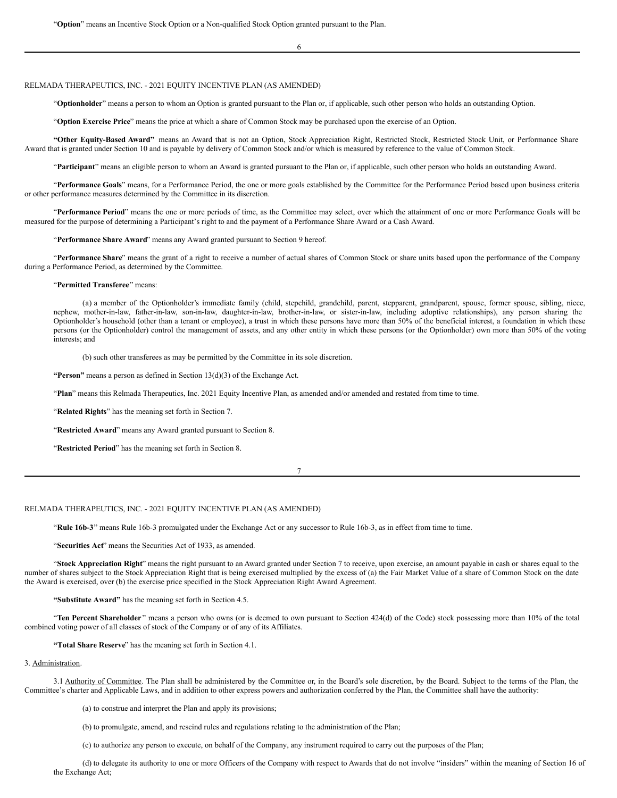#### RELMADA THERAPEUTICS, INC. - 2021 EQUITY INCENTIVE PLAN (AS AMENDED)

"**Optionholder**" means a person to whom an Option is granted pursuant to the Plan or, if applicable, such other person who holds an outstanding Option.

"**Option Exercise Price**" means the price at which a share of Common Stock may be purchased upon the exercise of an Option.

**"Other Equity-Based Award"** means an Award that is not an Option, Stock Appreciation Right, Restricted Stock, Restricted Stock Unit, or Performance Share Award that is granted under Section 10 and is payable by delivery of Common Stock and/or which is measured by reference to the value of Common Stock.

"**Participant**" means an eligible person to whom an Award is granted pursuant to the Plan or, if applicable, such other person who holds an outstanding Award.

"**Performance Goals**" means, for a Performance Period, the one or more goals established by the Committee for the Performance Period based upon business criteria or other performance measures determined by the Committee in its discretion.

"**Performance Period**" means the one or more periods of time, as the Committee may select, over which the attainment of one or more Performance Goals will be measured for the purpose of determining a Participant's right to and the payment of a Performance Share Award or a Cash Award.

"**Performance Share Award**" means any Award granted pursuant to Section 9 hereof.

"**Performance Share**" means the grant of a right to receive a number of actual shares of Common Stock or share units based upon the performance of the Company during a Performance Period, as determined by the Committee.

### "**Permitted Transferee**" means:

(a) a member of the Optionholder's immediate family (child, stepchild, grandchild, parent, stepparent, grandparent, spouse, former spouse, sibling, niece, nephew, mother-in-law, father-in-law, son-in-law, daughter-in-law, brother-in-law, or sister-in-law, including adoptive relationships), any person sharing the Optionholder's household (other than a tenant or employee), a trust in which these persons have more than 50% of the beneficial interest, a foundation in which these persons (or the Optionholder) control the management of assets, and any other entity in which these persons (or the Optionholder) own more than 50% of the voting interests; and

(b) such other transferees as may be permitted by the Committee in its sole discretion.

**"Person"** means a person as defined in Section 13(d)(3) of the Exchange Act.

"**Plan**" means this Relmada Therapeutics, Inc. 2021 Equity Incentive Plan, as amended and/or amended and restated from time to time.

"**Related Rights**" has the meaning set forth in Section 7.

"**Restricted Award**" means any Award granted pursuant to Section 8.

"**Restricted Period**" has the meaning set forth in Section 8.

7

# RELMADA THERAPEUTICS, INC. - 2021 EQUITY INCENTIVE PLAN (AS AMENDED)

"**Rule 16b-3**" means Rule 16b-3 promulgated under the Exchange Act or any successor to Rule 16b-3, as in effect from time to time.

"**Securities Act**" means the Securities Act of 1933, as amended.

"**Stock Appreciation Right**" means the right pursuant to an Award granted under Section 7 to receive, upon exercise, an amount payable in cash or shares equal to the number of shares subject to the Stock Appreciation Right that is being exercised multiplied by the excess of (a) the Fair Market Value of a share of Common Stock on the date the Award is exercised, over (b) the exercise price specified in the Stock Appreciation Right Award Agreement.

**"Substitute Award"** has the meaning set forth in Section 4.5.

"**Ten Percent Shareholder** " means a person who owns (or is deemed to own pursuant to Section 424(d) of the Code) stock possessing more than 10% of the total combined voting power of all classes of stock of the Company or of any of its Affiliates.

**"Total Share Reserve**" has the meaning set forth in Section 4.1.

# 3. Administration.

3.1 Authority of Committee. The Plan shall be administered by the Committee or, in the Board's sole discretion, by the Board. Subject to the terms of the Plan, the Committee's charter and Applicable Laws, and in addition to other express powers and authorization conferred by the Plan, the Committee shall have the authority:

(a) to construe and interpret the Plan and apply its provisions;

(b) to promulgate, amend, and rescind rules and regulations relating to the administration of the Plan;

(c) to authorize any person to execute, on behalf of the Company, any instrument required to carry out the purposes of the Plan;

(d) to delegate its authority to one or more Officers of the Company with respect to Awards that do not involve "insiders" within the meaning of Section 16 of the Exchange Act;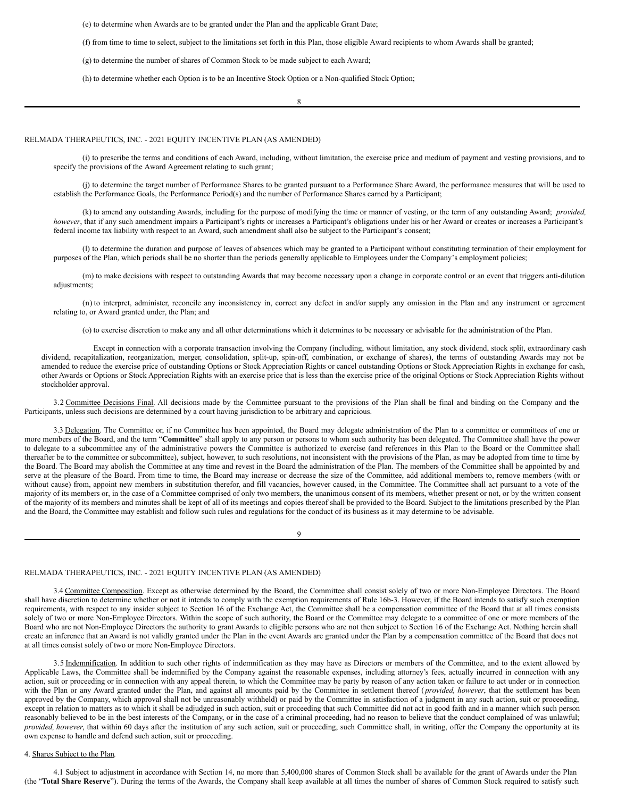(e) to determine when Awards are to be granted under the Plan and the applicable Grant Date;

(f) from time to time to select, subject to the limitations set forth in this Plan, those eligible Award recipients to whom Awards shall be granted;

(g) to determine the number of shares of Common Stock to be made subject to each Award;

(h) to determine whether each Option is to be an Incentive Stock Option or a Non-qualified Stock Option;

8

# RELMADA THERAPEUTICS, INC. - 2021 EQUITY INCENTIVE PLAN (AS AMENDED)

(i) to prescribe the terms and conditions of each Award, including, without limitation, the exercise price and medium of payment and vesting provisions, and to specify the provisions of the Award Agreement relating to such grant;

(j) to determine the target number of Performance Shares to be granted pursuant to a Performance Share Award, the performance measures that will be used to establish the Performance Goals, the Performance Period(s) and the number of Performance Shares earned by a Participant;

(k) to amend any outstanding Awards, including for the purpose of modifying the time or manner of vesting, or the term of any outstanding Award; *provided, however*, that if any such amendment impairs a Participant's rights or increases a Participant's obligations under his or her Award or creates or increases a Participant's federal income tax liability with respect to an Award, such amendment shall also be subject to the Participant's consent;

(l) to determine the duration and purpose of leaves of absences which may be granted to a Participant without constituting termination of their employment for purposes of the Plan, which periods shall be no shorter than the periods generally applicable to Employees under the Company's employment policies;

(m) to make decisions with respect to outstanding Awards that may become necessary upon a change in corporate control or an event that triggers anti-dilution adjustments;

(n) to interpret, administer, reconcile any inconsistency in, correct any defect in and/or supply any omission in the Plan and any instrument or agreement relating to, or Award granted under, the Plan; and

(o) to exercise discretion to make any and all other determinations which it determines to be necessary or advisable for the administration of the Plan.

Except in connection with a corporate transaction involving the Company (including, without limitation, any stock dividend, stock split, extraordinary cash dividend, recapitalization, reorganization, merger, consolidation, split-up, spin-off, combination, or exchange of shares), the terms of outstanding Awards may not be amended to reduce the exercise price of outstanding Options or Stock Appreciation Rights or cancel outstanding Options or Stock Appreciation Rights in exchange for cash, other Awards or Options or Stock Appreciation Rights with an exercise price that is less than the exercise price of the original Options or Stock Appreciation Rights without stockholder approval.

3.2 Committee Decisions Final. All decisions made by the Committee pursuant to the provisions of the Plan shall be final and binding on the Company and the Participants, unless such decisions are determined by a court having jurisdiction to be arbitrary and capricious.

3.3 Delegation. The Committee or, if no Committee has been appointed, the Board may delegate administration of the Plan to a committee or committees of one or more members of the Board, and the term "**Committee**" shall apply to any person or persons to whom such authority has been delegated. The Committee shall have the power to delegate to a subcommittee any of the administrative powers the Committee is authorized to exercise (and references in this Plan to the Board or the Committee shall thereafter be to the committee or subcommittee), subject, however, to such resolutions, not inconsistent with the provisions of the Plan, as may be adopted from time to time by the Board. The Board may abolish the Committee at any time and revest in the Board the administration of the Plan. The members of the Committee shall be appointed by and serve at the pleasure of the Board. From time to time, the Board may increase or decrease the size of the Committee, add additional members to, remove members (with or without cause) from, appoint new members in substitution therefor, and fill vacancies, however caused, in the Committee. The Committee shall act pursuant to a vote of the majority of its members or, in the case of a Committee comprised of only two members, the unanimous consent of its members, whether present or not, or by the written consent of the majority of its members and minutes shall be kept of all of its meetings and copies thereof shall be provided to the Board. Subject to the limitations prescribed by the Plan and the Board, the Committee may establish and follow such rules and regulations for the conduct of its business as it may determine to be advisable.

9

# RELMADA THERAPEUTICS, INC. - 2021 EQUITY INCENTIVE PLAN (AS AMENDED)

3.4 Committee Composition. Except as otherwise determined by the Board, the Committee shall consist solely of two or more Non-Employee Directors. The Board shall have discretion to determine whether or not it intends to comply with the exemption requirements of Rule 16b-3. However, if the Board intends to satisfy such exemption requirements, with respect to any insider subject to Section 16 of the Exchange Act, the Committee shall be a compensation committee of the Board that at all times consists solely of two or more Non-Employee Directors. Within the scope of such authority, the Board or the Committee may delegate to a committee of one or more members of the Board who are not Non-Employee Directors the authority to grant Awards to eligible persons who are not then subject to Section 16 of the Exchange Act. Nothing herein shall create an inference that an Award is not validly granted under the Plan in the event Awards are granted under the Plan by a compensation committee of the Board that does not at all times consist solely of two or more Non-Employee Directors.

3.5 Indemnification. In addition to such other rights of indemnification as they may have as Directors or members of the Committee, and to the extent allowed by Applicable Laws, the Committee shall be indemnified by the Company against the reasonable expenses, including attorney's fees, actually incurred in connection with any action, suit or proceeding or in connection with any appeal therein, to which the Committee may be party by reason of any action taken or failure to act under or in connection with the Plan or any Award granted under the Plan, and against all amounts paid by the Committee in settlement thereof ( *provided, however*, that the settlement has been approved by the Company, which approval shall not be unreasonably withheld) or paid by the Committee in satisfaction of a judgment in any such action, suit or proceeding, except in relation to matters as to which it shall be adjudged in such action, suit or proceeding that such Committee did not act in good faith and in a manner which such person reasonably believed to be in the best interests of the Company, or in the case of a criminal proceeding, had no reason to believe that the conduct complained of was unlawful; *provided, however*, that within 60 days after the institution of any such action, suit or proceeding, such Committee shall, in writing, offer the Company the opportunity at its own expense to handle and defend such action, suit or proceeding.

### 4. Shares Subject to the Plan.

4.1 Subject to adjustment in accordance with Section 14, no more than 5,400,000 shares of Common Stock shall be available for the grant of Awards under the Plan (the "**Total Share Reserve**"). During the terms of the Awards, the Company shall keep available at all times the number of shares of Common Stock required to satisfy such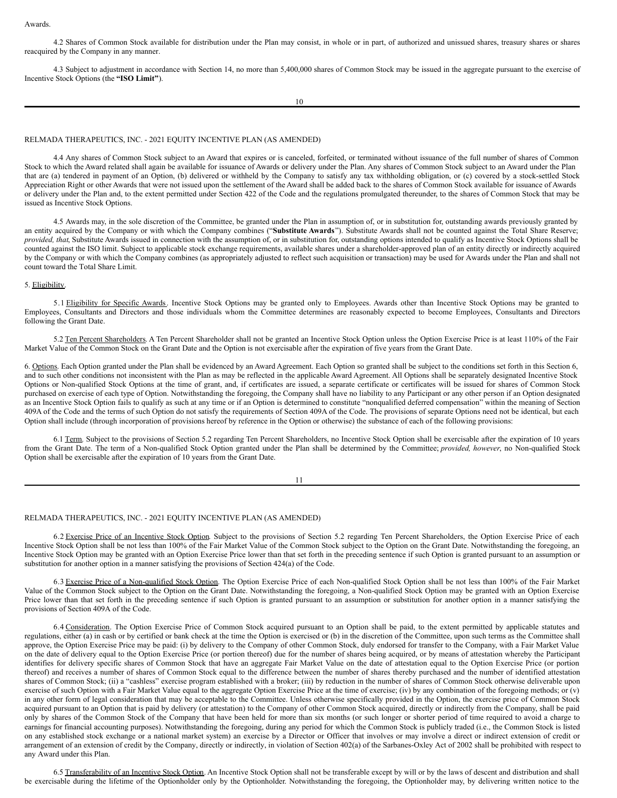<span id="page-7-0"></span>Awards.

4.2 Shares of Common Stock available for distribution under the Plan may consist, in whole or in part, of authorized and unissued shares, treasury shares or shares reacquired by the Company in any manner.

4.3 Subject to adjustment in accordance with Section 14, no more than 5,400,000 shares of Common Stock may be issued in the aggregate pursuant to the exercise of Incentive Stock Options (the **"ISO Limit"**).

# RELMADA THERAPEUTICS, INC. - 2021 EQUITY INCENTIVE PLAN (AS AMENDED)

4.4 Any shares of Common Stock subject to an Award that expires or is canceled, forfeited, or terminated without issuance of the full number of shares of Common Stock to which the Award related shall again be available for issuance of Awards or delivery under the Plan. Any shares of Common Stock subject to an Award under the Plan that are (a) tendered in payment of an Option, (b) delivered or withheld by the Company to satisfy any tax withholding obligation, or (c) covered by a stock-settled Stock Appreciation Right or other Awards that were not issued upon the settlement of the Award shall be added back to the shares of Common Stock available for issuance of Awards or delivery under the Plan and, to the extent permitted under Section 422 of the Code and the regulations promulgated thereunder, to the shares of Common Stock that may be issued as Incentive Stock Options.

4.5 Awards may, in the sole discretion of the Committee, be granted under the Plan in assumption of, or in substitution for, outstanding awards previously granted by an entity acquired by the Company or with which the Company combines ("**Substitute Awards**"). Substitute Awards shall not be counted against the Total Share Reserve; *provided, that*, Substitute Awards issued in connection with the assumption of, or in substitution for, outstanding options intended to qualify as Incentive Stock Options shall be counted against the ISO limit. Subject to applicable stock exchange requirements, available shares under a shareholder-approved plan of an entity directly or indirectly acquired by the Company or with which the Company combines (as appropriately adjusted to reflect such acquisition or transaction) may be used for Awards under the Plan and shall not count toward the Total Share Limit.

# 5. Eligibility.

5.1 Eligibility for Specific Awards. Incentive Stock Options may be granted only to Employees. Awards other than Incentive Stock Options may be granted to Employees, Consultants and Directors and those individuals whom the Committee determines are reasonably expected to become Employees, Consultants and Directors following the Grant Date.

5.2 Ten Percent Shareholders. A Ten Percent Shareholder shall not be granted an Incentive Stock Option unless the Option Exercise Price is at least 110% of the Fair Market Value of the Common Stock on the Grant Date and the Option is not exercisable after the expiration of five years from the Grant Date.

6. Options. Each Option granted under the Plan shall be evidenced by an Award Agreement. Each Option so granted shall be subject to the conditions set forth in this Section 6, and to such other conditions not inconsistent with the Plan as may be reflected in the applicable Award Agreement. All Options shall be separately designated Incentive Stock Options or Non-qualified Stock Options at the time of grant, and, if certificates are issued, a separate certificate or certificates will be issued for shares of Common Stock purchased on exercise of each type of Option. Notwithstanding the foregoing, the Company shall have no liability to any Participant or any other person if an Option designated as an Incentive Stock Option fails to qualify as such at any time or if an Option is determined to constitute "nonqualified deferred compensation" within the meaning of Section 409A of the Code and the terms of such Option do not satisfy the requirements of Section 409A of the Code. The provisions of separate Options need not be identical, but each Option shall include (through incorporation of provisions hereof by reference in the Option or otherwise) the substance of each of the following provisions:

6.1 Term. Subject to the provisions of Section 5.2 regarding Ten Percent Shareholders, no Incentive Stock Option shall be exercisable after the expiration of 10 years from the Grant Date. The term of a Non-qualified Stock Option granted under the Plan shall be determined by the Committee; *provided, however*, no Non-qualified Stock Option shall be exercisable after the expiration of 10 years from the Grant Date.

11

# RELMADA THERAPEUTICS, INC. - 2021 EQUITY INCENTIVE PLAN (AS AMENDED)

6.2 Exercise Price of an Incentive Stock Option. Subject to the provisions of Section 5.2 regarding Ten Percent Shareholders, the Option Exercise Price of each Incentive Stock Option shall be not less than 100% of the Fair Market Value of the Common Stock subject to the Option on the Grant Date. Notwithstanding the foregoing, an Incentive Stock Option may be granted with an Option Exercise Price lower than that set forth in the preceding sentence if such Option is granted pursuant to an assumption or substitution for another option in a manner satisfying the provisions of Section 424(a) of the Code.

6.3 Exercise Price of a Non-qualified Stock Option. The Option Exercise Price of each Non-qualified Stock Option shall be not less than 100% of the Fair Market Value of the Common Stock subject to the Option on the Grant Date. Notwithstanding the foregoing, a Non-qualified Stock Option may be granted with an Option Exercise Price lower than that set forth in the preceding sentence if such Option is granted pursuant to an assumption or substitution for another option in a manner satisfying the provisions of Section 409A of the Code.

6.4 Consideration. The Option Exercise Price of Common Stock acquired pursuant to an Option shall be paid, to the extent permitted by applicable statutes and regulations, either (a) in cash or by certified or bank check at the time the Option is exercised or (b) in the discretion of the Committee, upon such terms as the Committee shall approve, the Option Exercise Price may be paid: (i) by delivery to the Company of other Common Stock, duly endorsed for transfer to the Company, with a Fair Market Value on the date of delivery equal to the Option Exercise Price (or portion thereof) due for the number of shares being acquired, or by means of attestation whereby the Participant identifies for delivery specific shares of Common Stock that have an aggregate Fair Market Value on the date of attestation equal to the Option Exercise Price (or portion thereof) and receives a number of shares of Common Stock equal to the difference between the number of shares thereby purchased and the number of identified attestation shares of Common Stock; (ii) a "cashless" exercise program established with a broker; (iii) by reduction in the number of shares of Common Stock otherwise deliverable upon exercise of such Option with a Fair Market Value equal to the aggregate Option Exercise Price at the time of exercise; (iv) by any combination of the foregoing methods; or (v) in any other form of legal consideration that may be acceptable to the Committee. Unless otherwise specifically provided in the Option, the exercise price of Common Stock acquired pursuant to an Option that is paid by delivery (or attestation) to the Company of other Common Stock acquired, directly or indirectly from the Company, shall be paid only by shares of the Common Stock of the Company that have been held for more than six months (or such longer or shorter period of time required to avoid a charge to earnings for financial accounting purposes). Notwithstanding the foregoing, during any period for which the Common Stock is publicly traded (i.e., the Common Stock is listed on any established stock exchange or a national market system) an exercise by a Director or Officer that involves or may involve a direct or indirect extension of credit or arrangement of an extension of credit by the Company, directly or indirectly, in violation of Section 402(a) of the Sarbanes-Oxley Act of 2002 shall be prohibited with respect to any Award under this Plan.

6.5 Transferability of an Incentive Stock Option. An Incentive Stock Option shall not be transferable except by will or by the laws of descent and distribution and shall be exercisable during the lifetime of the Optionholder only by the Optionholder. Notwithstanding the foregoing, the Optionholder may, by delivering written notice to the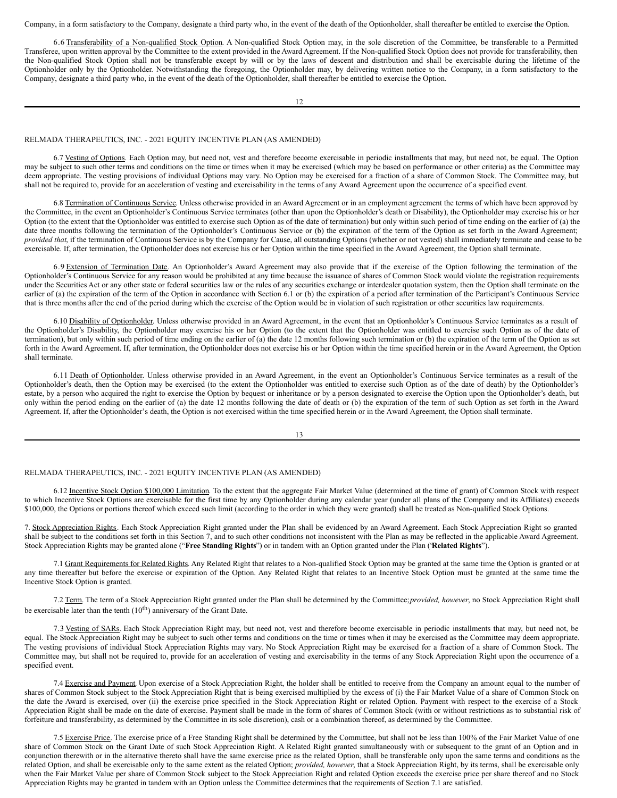Company, in a form satisfactory to the Company, designate a third party who, in the event of the death of the Optionholder, shall thereafter be entitled to exercise the Option.

6.6 Transferability of a Non-qualified Stock Option. A Non-qualified Stock Option may, in the sole discretion of the Committee, be transferable to a Permitted Transferee, upon written approval by the Committee to the extent provided in the Award Agreement. If the Non-qualified Stock Option does not provide for transferability, then the Non-qualified Stock Option shall not be transferable except by will or by the laws of descent and distribution and shall be exercisable during the lifetime of the Optionholder only by the Optionholder. Notwithstanding the foregoing, the Optionholder may, by delivering written notice to the Company, in a form satisfactory to the Company, designate a third party who, in the event of the death of the Optionholder, shall thereafter be entitled to exercise the Option.

12

# RELMADA THERAPEUTICS, INC. - 2021 EQUITY INCENTIVE PLAN (AS AMENDED)

6.7 Vesting of Options. Each Option may, but need not, vest and therefore become exercisable in periodic installments that may, but need not, be equal. The Option may be subject to such other terms and conditions on the time or times when it may be exercised (which may be based on performance or other criteria) as the Committee may deem appropriate. The vesting provisions of individual Options may vary. No Option may be exercised for a fraction of a share of Common Stock. The Committee may, but shall not be required to, provide for an acceleration of vesting and exercisability in the terms of any Award Agreement upon the occurrence of a specified event.

6.8 Termination of Continuous Service. Unless otherwise provided in an Award Agreement or in an employment agreement the terms of which have been approved by the Committee, in the event an Optionholder's Continuous Service terminates (other than upon the Optionholder's death or Disability), the Optionholder may exercise his or her Option (to the extent that the Optionholder was entitled to exercise such Option as of the date of termination) but only within such period of time ending on the earlier of (a) the date three months following the termination of the Optionholder's Continuous Service or (b) the expiration of the term of the Option as set forth in the Award Agreement; *provided that*, if the termination of Continuous Service is by the Company for Cause, all outstanding Options (whether or not vested) shall immediately terminate and cease to be exercisable. If, after termination, the Optionholder does not exercise his or her Option within the time specified in the Award Agreement, the Option shall terminate.

6.9 Extension of Termination Date. An Optionholder's Award Agreement may also provide that if the exercise of the Option following the termination of the Optionholder's Continuous Service for any reason would be prohibited at any time because the issuance of shares of Common Stock would violate the registration requirements under the Securities Act or any other state or federal securities law or the rules of any securities exchange or interdealer quotation system, then the Option shall terminate on the earlier of (a) the expiration of the term of the Option in accordance with Section 6.1 or (b) the expiration of a period after termination of the Participant's Continuous Service that is three months after the end of the period during which the exercise of the Option would be in violation of such registration or other securities law requirements.

6.10 Disability of Optionholder. Unless otherwise provided in an Award Agreement, in the event that an Optionholder's Continuous Service terminates as a result of the Optionholder's Disability, the Optionholder may exercise his or her Option (to the extent that the Optionholder was entitled to exercise such Option as of the date of termination), but only within such period of time ending on the earlier of (a) the date 12 months following such termination or (b) the expiration of the term of the Option as set forth in the Award Agreement. If, after termination, the Optionholder does not exercise his or her Option within the time specified herein or in the Award Agreement, the Option shall terminate.

6.11 Death of Optionholder. Unless otherwise provided in an Award Agreement, in the event an Optionholder's Continuous Service terminates as a result of the Optionholder's death, then the Option may be exercised (to the extent the Optionholder was entitled to exercise such Option as of the date of death) by the Optionholder's estate, by a person who acquired the right to exercise the Option by bequest or inheritance or by a person designated to exercise the Option upon the Optionholder's death, but only within the period ending on the earlier of (a) the date 12 months following the date of death or (b) the expiration of the term of such Option as set forth in the Award Agreement. If, after the Optionholder's death, the Option is not exercised within the time specified herein or in the Award Agreement, the Option shall terminate.

13

#### RELMADA THERAPEUTICS, INC. - 2021 EQUITY INCENTIVE PLAN (AS AMENDED)

6.12 Incentive Stock Option \$100,000 Limitation. To the extent that the aggregate Fair Market Value (determined at the time of grant) of Common Stock with respect to which Incentive Stock Options are exercisable for the first time by any Optionholder during any calendar year (under all plans of the Company and its Affiliates) exceeds \$100,000, the Options or portions thereof which exceed such limit (according to the order in which they were granted) shall be treated as Non-qualified Stock Options.

7. Stock Appreciation Rights. Each Stock Appreciation Right granted under the Plan shall be evidenced by an Award Agreement. Each Stock Appreciation Right so granted shall be subject to the conditions set forth in this Section 7, and to such other conditions not inconsistent with the Plan as may be reflected in the applicable Award Agreement. Stock Appreciation Rights may be granted alone ("**Free Standing Rights**") or in tandem with an Option granted under the Plan ("**Related Rights**").

7.1 Grant Requirements for Related Rights. Any Related Right that relates to a Non-qualified Stock Option may be granted at the same time the Option is granted or at any time thereafter but before the exercise or expiration of the Option. Any Related Right that relates to an Incentive Stock Option must be granted at the same time the Incentive Stock Option is granted.

7.2 Term. The term of a Stock Appreciation Right granted under the Plan shall be determined by the Committee;*provided, however*, no Stock Appreciation Right shall be exercisable later than the tenth  $(10^{th})$  anniversary of the Grant Date.

7.3 Vesting of SARs. Each Stock Appreciation Right may, but need not, vest and therefore become exercisable in periodic installments that may, but need not, be equal. The Stock Appreciation Right may be subject to such other terms and conditions on the time or times when it may be exercised as the Committee may deem appropriate. The vesting provisions of individual Stock Appreciation Rights may vary. No Stock Appreciation Right may be exercised for a fraction of a share of Common Stock. The Committee may, but shall not be required to, provide for an acceleration of vesting and exercisability in the terms of any Stock Appreciation Right upon the occurrence of a specified event.

7.4 Exercise and Payment. Upon exercise of a Stock Appreciation Right, the holder shall be entitled to receive from the Company an amount equal to the number of shares of Common Stock subject to the Stock Appreciation Right that is being exercised multiplied by the excess of (i) the Fair Market Value of a share of Common Stock on the date the Award is exercised, over (ii) the exercise price specified in the Stock Appreciation Right or related Option. Payment with respect to the exercise of a Stock Appreciation Right shall be made on the date of exercise. Payment shall be made in the form of shares of Common Stock (with or without restrictions as to substantial risk of forfeiture and transferability, as determined by the Committee in its sole discretion), cash or a combination thereof, as determined by the Committee.

7.5 Exercise Price. The exercise price of a Free Standing Right shall be determined by the Committee, but shall not be less than 100% of the Fair Market Value of one share of Common Stock on the Grant Date of such Stock Appreciation Right. A Related Right granted simultaneously with or subsequent to the grant of an Option and in conjunction therewith or in the alternative thereto shall have the same exercise price as the related Option, shall be transferable only upon the same terms and conditions as the related Option, and shall be exercisable only to the same extent as the related Option; *provided, however*, that a Stock Appreciation Right, by its terms, shall be exercisable only when the Fair Market Value per share of Common Stock subject to the Stock Appreciation Right and related Option exceeds the exercise price per share thereof and no Stock Appreciation Rights may be granted in tandem with an Option unless the Committee determines that the requirements of Section 7.1 are satisfied.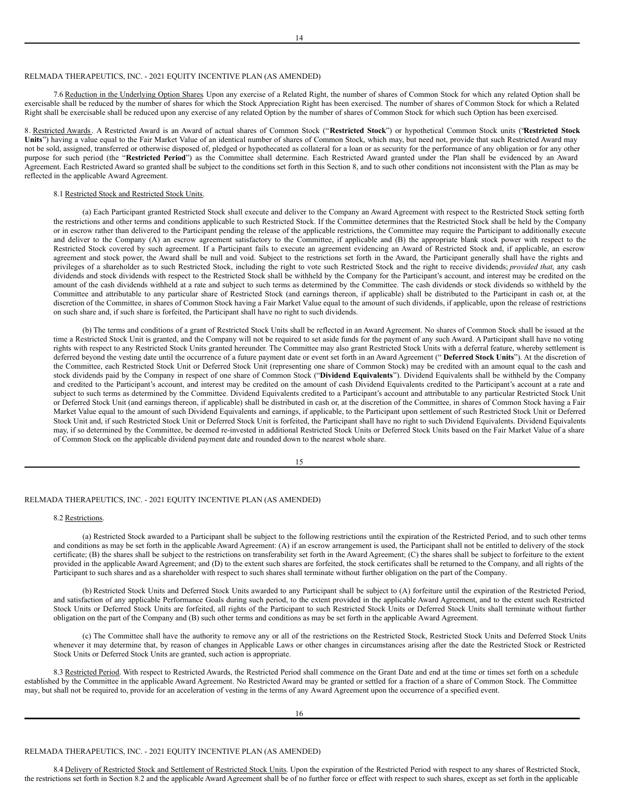# RELMADA THERAPEUTICS, INC. - 2021 EQUITY INCENTIVE PLAN (AS AMENDED)

7.6 Reduction in the Underlying Option Shares. Upon any exercise of a Related Right, the number of shares of Common Stock for which any related Option shall be exercisable shall be reduced by the number of shares for which the Stock Appreciation Right has been exercised. The number of shares of Common Stock for which a Related Right shall be exercisable shall be reduced upon any exercise of any related Option by the number of shares of Common Stock for which such Option has been exercised.

8. Restricted Awards. A Restricted Award is an Award of actual shares of Common Stock ("**Restricted Stock**") or hypothetical Common Stock units ("**Restricted Stock Units**") having a value equal to the Fair Market Value of an identical number of shares of Common Stock, which may, but need not, provide that such Restricted Award may not be sold, assigned, transferred or otherwise disposed of, pledged or hypothecated as collateral for a loan or as security for the performance of any obligation or for any other purpose for such period (the "**Restricted Period**") as the Committee shall determine. Each Restricted Award granted under the Plan shall be evidenced by an Award Agreement. Each Restricted Award so granted shall be subject to the conditions set forth in this Section 8, and to such other conditions not inconsistent with the Plan as may be reflected in the applicable Award Agreement.

## 8.1 Restricted Stock and Restricted Stock Units.

(a) Each Participant granted Restricted Stock shall execute and deliver to the Company an Award Agreement with respect to the Restricted Stock setting forth the restrictions and other terms and conditions applicable to such Restricted Stock. If the Committee determines that the Restricted Stock shall be held by the Company or in escrow rather than delivered to the Participant pending the release of the applicable restrictions, the Committee may require the Participant to additionally execute and deliver to the Company (A) an escrow agreement satisfactory to the Committee, if applicable and (B) the appropriate blank stock power with respect to the Restricted Stock covered by such agreement. If a Participant fails to execute an agreement evidencing an Award of Restricted Stock and, if applicable, an escrow agreement and stock power, the Award shall be null and void. Subject to the restrictions set forth in the Award, the Participant generally shall have the rights and privileges of a shareholder as to such Restricted Stock, including the right to vote such Restricted Stock and the right to receive dividends; *provided that*, any cash dividends and stock dividends with respect to the Restricted Stock shall be withheld by the Company for the Participant's account, and interest may be credited on the amount of the cash dividends withheld at a rate and subject to such terms as determined by the Committee. The cash dividends or stock dividends so withheld by the Committee and attributable to any particular share of Restricted Stock (and earnings thereon, if applicable) shall be distributed to the Participant in cash or, at the discretion of the Committee, in shares of Common Stock having a Fair Market Value equal to the amount of such dividends, if applicable, upon the release of restrictions on such share and, if such share is forfeited, the Participant shall have no right to such dividends.

(b) The terms and conditions of a grant of Restricted Stock Units shall be reflected in an Award Agreement. No shares of Common Stock shall be issued at the time a Restricted Stock Unit is granted, and the Company will not be required to set aside funds for the payment of any such Award. A Participant shall have no voting rights with respect to any Restricted Stock Units granted hereunder. The Committee may also grant Restricted Stock Units with a deferral feature, whereby settlement is deferred beyond the vesting date until the occurrence of a future payment date or event set forth in an Award Agreement (" **Deferred Stock Units**"). At the discretion of the Committee, each Restricted Stock Unit or Deferred Stock Unit (representing one share of Common Stock) may be credited with an amount equal to the cash and stock dividends paid by the Company in respect of one share of Common Stock ("**Dividend Equivalents**"). Dividend Equivalents shall be withheld by the Company and credited to the Participant's account, and interest may be credited on the amount of cash Dividend Equivalents credited to the Participant's account at a rate and subject to such terms as determined by the Committee. Dividend Equivalents credited to a Participant's account and attributable to any particular Restricted Stock Unit or Deferred Stock Unit (and earnings thereon, if applicable) shall be distributed in cash or, at the discretion of the Committee, in shares of Common Stock having a Fair Market Value equal to the amount of such Dividend Equivalents and earnings, if applicable, to the Participant upon settlement of such Restricted Stock Unit or Deferred Stock Unit and, if such Restricted Stock Unit or Deferred Stock Unit is forfeited, the Participant shall have no right to such Dividend Equivalents. Dividend Equivalents may, if so determined by the Committee, be deemed re-invested in additional Restricted Stock Units or Deferred Stock Units based on the Fair Market Value of a share of Common Stock on the applicable dividend payment date and rounded down to the nearest whole share.

15

# RELMADA THERAPEUTICS, INC. - 2021 EQUITY INCENTIVE PLAN (AS AMENDED)

# 8.2 Restrictions.

(a) Restricted Stock awarded to a Participant shall be subject to the following restrictions until the expiration of the Restricted Period, and to such other terms and conditions as may be set forth in the applicable Award Agreement: (A) if an escrow arrangement is used, the Participant shall not be entitled to delivery of the stock certificate; (B) the shares shall be subject to the restrictions on transferability set forth in the Award Agreement; (C) the shares shall be subject to forfeiture to the extent provided in the applicable Award Agreement; and (D) to the extent such shares are forfeited, the stock certificates shall be returned to the Company, and all rights of the Participant to such shares and as a shareholder with respect to such shares shall terminate without further obligation on the part of the Company.

(b) Restricted Stock Units and Deferred Stock Units awarded to any Participant shall be subject to (A) forfeiture until the expiration of the Restricted Period, and satisfaction of any applicable Performance Goals during such period, to the extent provided in the applicable Award Agreement, and to the extent such Restricted Stock Units or Deferred Stock Units are forfeited, all rights of the Participant to such Restricted Stock Units or Deferred Stock Units shall terminate without further obligation on the part of the Company and (B) such other terms and conditions as may be set forth in the applicable Award Agreement.

(c) The Committee shall have the authority to remove any or all of the restrictions on the Restricted Stock, Restricted Stock Units and Deferred Stock Units whenever it may determine that, by reason of changes in Applicable Laws or other changes in circumstances arising after the date the Restricted Stock or Restricted Stock Units or Deferred Stock Units are granted, such action is appropriate.

8.3 Restricted Period. With respect to Restricted Awards, the Restricted Period shall commence on the Grant Date and end at the time or times set forth on a schedule established by the Committee in the applicable Award Agreement. No Restricted Award may be granted or settled for a fraction of a share of Common Stock. The Committee may, but shall not be required to, provide for an acceleration of vesting in the terms of any Award Agreement upon the occurrence of a specified event.

16

# RELMADA THERAPEUTICS, INC. - 2021 EQUITY INCENTIVE PLAN (AS AMENDED)

8.4 Delivery of Restricted Stock and Settlement of Restricted Stock Units. Upon the expiration of the Restricted Period with respect to any shares of Restricted Stock, the restrictions set forth in Section 8.2 and the applicable Award Agreement shall be of no further force or effect with respect to such shares, except as set forth in the applicable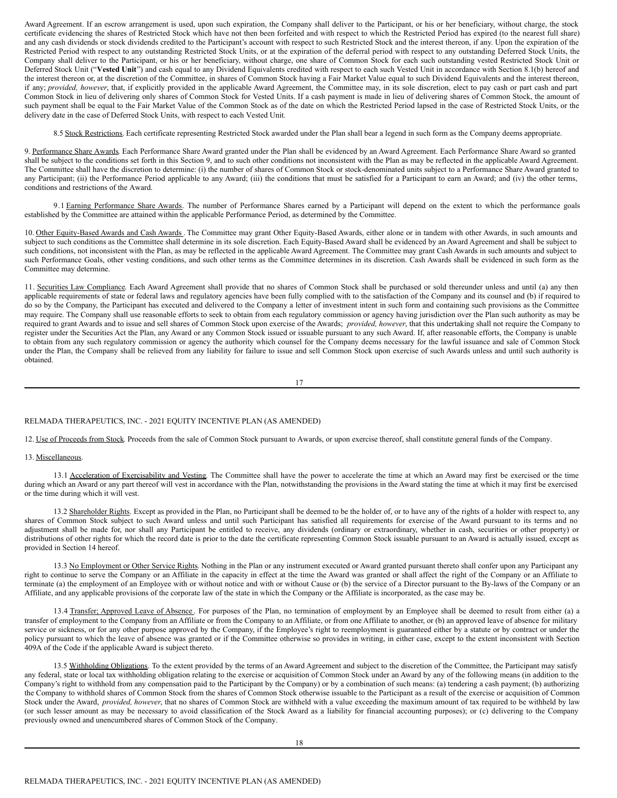Award Agreement. If an escrow arrangement is used, upon such expiration, the Company shall deliver to the Participant, or his or her beneficiary, without charge, the stock certificate evidencing the shares of Restricted Stock which have not then been forfeited and with respect to which the Restricted Period has expired (to the nearest full share) and any cash dividends or stock dividends credited to the Participant's account with respect to such Restricted Stock and the interest thereon, if any. Upon the expiration of the Restricted Period with respect to any outstanding Restricted Stock Units, or at the expiration of the deferral period with respect to any outstanding Deferred Stock Units, the Company shall deliver to the Participant, or his or her beneficiary, without charge, one share of Common Stock for each such outstanding vested Restricted Stock Unit or Deferred Stock Unit ("**Vested Unit**") and cash equal to any Dividend Equivalents credited with respect to each such Vested Unit in accordance with Section 8.1(b) hereof and the interest thereon or, at the discretion of the Committee, in shares of Common Stock having a Fair Market Value equal to such Dividend Equivalents and the interest thereon, if any; *provided, however*, that, if explicitly provided in the applicable Award Agreement, the Committee may, in its sole discretion, elect to pay cash or part cash and part Common Stock in lieu of delivering only shares of Common Stock for Vested Units. If a cash payment is made in lieu of delivering shares of Common Stock, the amount of such payment shall be equal to the Fair Market Value of the Common Stock as of the date on which the Restricted Period lapsed in the case of Restricted Stock Units, or the delivery date in the case of Deferred Stock Units, with respect to each Vested Unit.

8.5 Stock Restrictions. Each certificate representing Restricted Stock awarded under the Plan shall bear a legend in such form as the Company deems appropriate.

9. Performance Share Awards. Each Performance Share Award granted under the Plan shall be evidenced by an Award Agreement. Each Performance Share Award so granted shall be subject to the conditions set forth in this Section 9, and to such other conditions not inconsistent with the Plan as may be reflected in the applicable Award Agreement. The Committee shall have the discretion to determine: (i) the number of shares of Common Stock or stock-denominated units subject to a Performance Share Award granted to any Participant; (ii) the Performance Period applicable to any Award; (iii) the conditions that must be satisfied for a Participant to earn an Award; and (iv) the other terms, conditions and restrictions of the Award.

9.1 Earning Performance Share Awards. The number of Performance Shares earned by a Participant will depend on the extent to which the performance goals established by the Committee are attained within the applicable Performance Period, as determined by the Committee.

10. Other Equity-Based Awards and Cash Awards. The Committee may grant Other Equity-Based Awards, either alone or in tandem with other Awards, in such amounts and subject to such conditions as the Committee shall determine in its sole discretion. Each Equity-Based Award shall be evidenced by an Award Agreement and shall be subject to such conditions, not inconsistent with the Plan, as may be reflected in the applicable Award Agreement. The Committee may grant Cash Awards in such amounts and subject to such Performance Goals, other vesting conditions, and such other terms as the Committee determines in its discretion. Cash Awards shall be evidenced in such form as the Committee may determine.

11. Securities Law Compliance. Each Award Agreement shall provide that no shares of Common Stock shall be purchased or sold thereunder unless and until (a) any then applicable requirements of state or federal laws and regulatory agencies have been fully complied with to the satisfaction of the Company and its counsel and (b) if required to do so by the Company, the Participant has executed and delivered to the Company a letter of investment intent in such form and containing such provisions as the Committee may require. The Company shall use reasonable efforts to seek to obtain from each regulatory commission or agency having jurisdiction over the Plan such authority as may be required to grant Awards and to issue and sell shares of Common Stock upon exercise of the Awards; *provided, however*, that this undertaking shall not require the Company to register under the Securities Act the Plan, any Award or any Common Stock issued or issuable pursuant to any such Award. If, after reasonable efforts, the Company is unable to obtain from any such regulatory commission or agency the authority which counsel for the Company deems necessary for the lawful issuance and sale of Common Stock under the Plan, the Company shall be relieved from any liability for failure to issue and sell Common Stock upon exercise of such Awards unless and until such authority is obtained.

$$
^{17}
$$

#### RELMADA THERAPEUTICS, INC. - 2021 EQUITY INCENTIVE PLAN (AS AMENDED)

12. Use of Proceeds from Stock. Proceeds from the sale of Common Stock pursuant to Awards, or upon exercise thereof, shall constitute general funds of the Company.

#### 13. Miscellaneous.

13.1 Acceleration of Exercisability and Vesting. The Committee shall have the power to accelerate the time at which an Award may first be exercised or the time during which an Award or any part thereof will vest in accordance with the Plan, notwithstanding the provisions in the Award stating the time at which it may first be exercised or the time during which it will vest.

13.2 Shareholder Rights. Except as provided in the Plan, no Participant shall be deemed to be the holder of, or to have any of the rights of a holder with respect to, any shares of Common Stock subject to such Award unless and until such Participant has satisfied all requirements for exercise of the Award pursuant to its terms and no adjustment shall be made for, nor shall any Participant be entitled to receive, any dividends (ordinary or extraordinary, whether in cash, securities or other property) or distributions of other rights for which the record date is prior to the date the certificate representing Common Stock issuable pursuant to an Award is actually issued, except as provided in Section 14 hereof.

13.3 No Employment or Other Service Rights. Nothing in the Plan or any instrument executed or Award granted pursuant thereto shall confer upon any Participant any right to continue to serve the Company or an Affiliate in the capacity in effect at the time the Award was granted or shall affect the right of the Company or an Affiliate to terminate (a) the employment of an Employee with or without notice and with or without Cause or (b) the service of a Director pursuant to the By-laws of the Company or an Affiliate, and any applicable provisions of the corporate law of the state in which the Company or the Affiliate is incorporated, as the case may be.

13.4 Transfer; Approved Leave of Absence. For purposes of the Plan, no termination of employment by an Employee shall be deemed to result from either (a) a transfer of employment to the Company from an Affiliate or from the Company to an Affiliate, or from one Affiliate to another, or (b) an approved leave of absence for military service or sickness, or for any other purpose approved by the Company, if the Employee's right to reemployment is guaranteed either by a statute or by contract or under the policy pursuant to which the leave of absence was granted or if the Committee otherwise so provides in writing, in either case, except to the extent inconsistent with Section 409A of the Code if the applicable Award is subject thereto.

13.5 Withholding Obligations. To the extent provided by the terms of an Award Agreement and subject to the discretion of the Committee, the Participant may satisfy any federal, state or local tax withholding obligation relating to the exercise or acquisition of Common Stock under an Award by any of the following means (in addition to the Company's right to withhold from any compensation paid to the Participant by the Company) or by a combination of such means: (a) tendering a cash payment; (b) authorizing the Company to withhold shares of Common Stock from the shares of Common Stock otherwise issuable to the Participant as a result of the exercise or acquisition of Common Stock under the Award, *provided, however*, that no shares of Common Stock are withheld with a value exceeding the maximum amount of tax required to be withheld by law (or such lesser amount as may be necessary to avoid classification of the Stock Award as a liability for financial accounting purposes); or (c) delivering to the Company previously owned and unencumbered shares of Common Stock of the Company.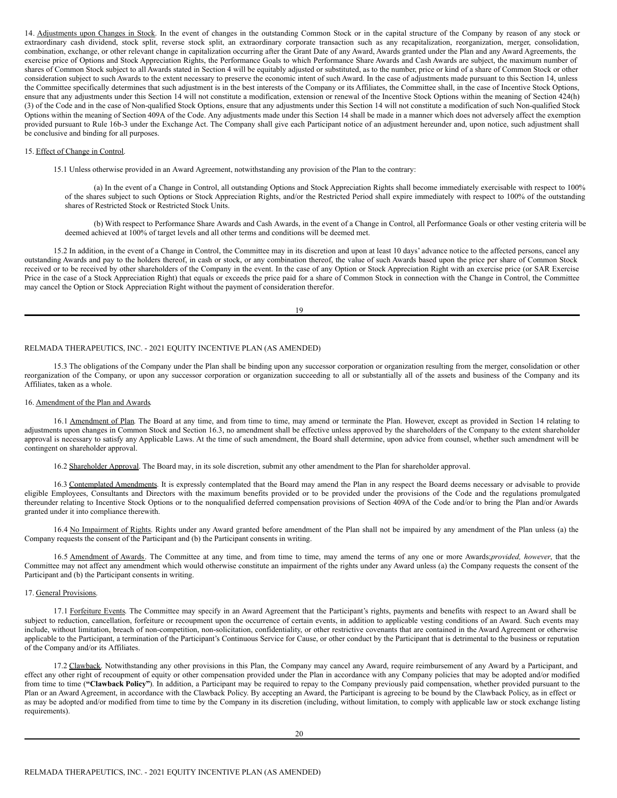14. Adjustments upon Changes in Stock. In the event of changes in the outstanding Common Stock or in the capital structure of the Company by reason of any stock or extraordinary cash dividend, stock split, reverse stock split, an extraordinary corporate transaction such as any recapitalization, reorganization, merger, consolidation, combination, exchange, or other relevant change in capitalization occurring after the Grant Date of any Award, Awards granted under the Plan and any Award Agreements, the exercise price of Options and Stock Appreciation Rights, the Performance Goals to which Performance Share Awards and Cash Awards are subject, the maximum number of shares of Common Stock subject to all Awards stated in Section 4 will be equitably adjusted or substituted, as to the number, price or kind of a share of Common Stock or other consideration subject to such Awards to the extent necessary to preserve the economic intent of such Award. In the case of adjustments made pursuant to this Section 14, unless the Committee specifically determines that such adjustment is in the best interests of the Company or its Affiliates, the Committee shall, in the case of Incentive Stock Options, ensure that any adjustments under this Section 14 will not constitute a modification, extension or renewal of the Incentive Stock Options within the meaning of Section 424(h) (3) of the Code and in the case of Non-qualified Stock Options, ensure that any adjustments under this Section 14 will not constitute a modification of such Non-qualified Stock Options within the meaning of Section 409A of the Code. Any adjustments made under this Section 14 shall be made in a manner which does not adversely affect the exemption provided pursuant to Rule 16b-3 under the Exchange Act. The Company shall give each Participant notice of an adjustment hereunder and, upon notice, such adjustment shall be conclusive and binding for all purposes.

#### 15. Effect of Change in Control.

15.1 Unless otherwise provided in an Award Agreement, notwithstanding any provision of the Plan to the contrary:

(a) In the event of a Change in Control, all outstanding Options and Stock Appreciation Rights shall become immediately exercisable with respect to 100% of the shares subject to such Options or Stock Appreciation Rights, and/or the Restricted Period shall expire immediately with respect to 100% of the outstanding shares of Restricted Stock or Restricted Stock Units.

(b) With respect to Performance Share Awards and Cash Awards, in the event of a Change in Control, all Performance Goals or other vesting criteria will be deemed achieved at 100% of target levels and all other terms and conditions will be deemed met.

15.2 In addition, in the event of a Change in Control, the Committee may in its discretion and upon at least 10 days' advance notice to the affected persons, cancel any outstanding Awards and pay to the holders thereof, in cash or stock, or any combination thereof, the value of such Awards based upon the price per share of Common Stock received or to be received by other shareholders of the Company in the event. In the case of any Option or Stock Appreciation Right with an exercise price (or SAR Exercise Price in the case of a Stock Appreciation Right) that equals or exceeds the price paid for a share of Common Stock in connection with the Change in Control, the Committee may cancel the Option or Stock Appreciation Right without the payment of consideration therefor.

19

### RELMADA THERAPEUTICS, INC. - 2021 EQUITY INCENTIVE PLAN (AS AMENDED)

15.3 The obligations of the Company under the Plan shall be binding upon any successor corporation or organization resulting from the merger, consolidation or other reorganization of the Company, or upon any successor corporation or organization succeeding to all or substantially all of the assets and business of the Company and its Affiliates, taken as a whole.

### 16. Amendment of the Plan and Awards.

16.1 Amendment of Plan. The Board at any time, and from time to time, may amend or terminate the Plan. However, except as provided in Section 14 relating to adjustments upon changes in Common Stock and Section 16.3, no amendment shall be effective unless approved by the shareholders of the Company to the extent shareholder approval is necessary to satisfy any Applicable Laws. At the time of such amendment, the Board shall determine, upon advice from counsel, whether such amendment will be contingent on shareholder approval.

16.2 Shareholder Approval. The Board may, in its sole discretion, submit any other amendment to the Plan for shareholder approval.

16.3 Contemplated Amendments. It is expressly contemplated that the Board may amend the Plan in any respect the Board deems necessary or advisable to provide eligible Employees, Consultants and Directors with the maximum benefits provided or to be provided under the provisions of the Code and the regulations promulgated thereunder relating to Incentive Stock Options or to the nonqualified deferred compensation provisions of Section 409A of the Code and/or to bring the Plan and/or Awards granted under it into compliance therewith.

16.4 No Impairment of Rights. Rights under any Award granted before amendment of the Plan shall not be impaired by any amendment of the Plan unless (a) the Company requests the consent of the Participant and (b) the Participant consents in writing.

16.5 Amendment of Awards. The Committee at any time, and from time to time, may amend the terms of any one or more Awards;*provided, however*, that the Committee may not affect any amendment which would otherwise constitute an impairment of the rights under any Award unless (a) the Company requests the consent of the Participant and (b) the Participant consents in writing.

# 17. General Provisions.

17.1 Forfeiture Events. The Committee may specify in an Award Agreement that the Participant's rights, payments and benefits with respect to an Award shall be subject to reduction, cancellation, forfeiture or recoupment upon the occurrence of certain events, in addition to applicable vesting conditions of an Award. Such events may include, without limitation, breach of non-competition, non-solicitation, confidentiality, or other restrictive covenants that are contained in the Award Agreement or otherwise applicable to the Participant, a termination of the Participant's Continuous Service for Cause, or other conduct by the Participant that is detrimental to the business or reputation of the Company and/or its Affiliates.

17.2 Clawback. Notwithstanding any other provisions in this Plan, the Company may cancel any Award, require reimbursement of any Award by a Participant, and effect any other right of recoupment of equity or other compensation provided under the Plan in accordance with any Company policies that may be adopted and/or modified from time to time (**"Clawback Policy"**). In addition, a Participant may be required to repay to the Company previously paid compensation, whether provided pursuant to the Plan or an Award Agreement, in accordance with the Clawback Policy. By accepting an Award, the Participant is agreeing to be bound by the Clawback Policy, as in effect or as may be adopted and/or modified from time to time by the Company in its discretion (including, without limitation, to comply with applicable law or stock exchange listing requirements).